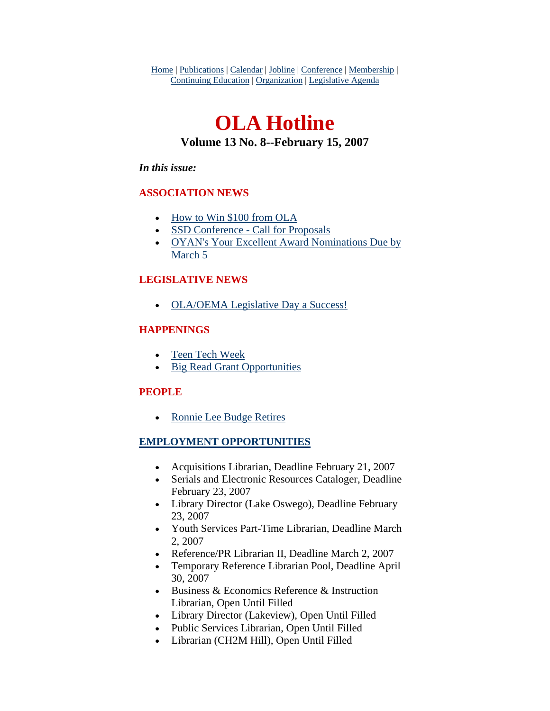Home | Publications | Calendar | Jobline | Conference | Membership | Continuing Education | Organization | Legislative Agenda

# **OLA Hotline Volume 13 No. 8--February 15, 2007**

#### *In this issue:*

#### **ASSOCIATION NEWS**

- [How to Win \\$100 from OLA](#page-1-0)
- [SSD Conference Call for Proposals](#page-1-0)
- [OYAN's Your Excellent Award Nominations Due by](#page-2-0)  [March 5](#page-2-0)

#### **LEGISLATIVE NEWS**

• [OLA/OEMA Legislative Day a Success!](#page-3-0)

#### **HAPPENINGS**

- [Teen Tech Week](#page-4-0)
- [Big Read Grant Opportunities](#page-4-0)

#### **PEOPLE**

• [Ronnie Lee Budge Retires](#page-5-0)

#### **EMPLOYMENT OPPORTUNITIES**

- Acquisitions Librarian, Deadline February 21, 2007
- Serials and Electronic Resources Cataloger, Deadline February 23, 2007
- Library Director (Lake Oswego), Deadline February 23, 2007
- Youth Services Part-Time Librarian, Deadline March 2, 2007
- Reference/PR Librarian II, Deadline March 2, 2007
- Temporary Reference Librarian Pool, Deadline April 30, 2007
- Business & Economics Reference & Instruction Librarian, Open Until Filled
- Library Director (Lakeview), Open Until Filled
- Public Services Librarian, Open Until Filled
- Librarian (CH2M Hill), Open Until Filled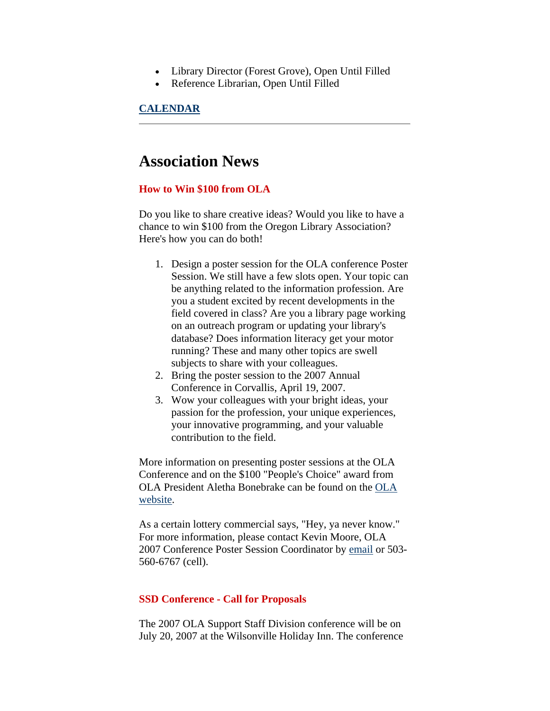- <span id="page-1-0"></span>• Library Director (Forest Grove), Open Until Filled
- Reference Librarian, Open Until Filled

#### **CALENDAR**

### **Association News**

#### **How to Win \$100 from OLA**

Do you like to share creative ideas? Would you like to have a chance to win \$100 from the Oregon Library Association? Here's how you can do both!

- 1. Design a poster session for the OLA conference Poster Session. We still have a few slots open. Your topic can be anything related to the information profession. Are you a student excited by recent developments in the field covered in class? Are you a library page working on an outreach program or updating your library's database? Does information literacy get your motor running? These and many other topics are swell subjects to share with your colleagues.
- 2. Bring the poster session to the 2007 Annual Conference in Corvallis, April 19, 2007.
- 3. Wow your colleagues with your bright ideas, your passion for the profession, your unique experiences, your innovative programming, and your valuable contribution to the field.

More information on presenting poster sessions at the OLA Conference and on the \$100 "People's Choice" award from OLA President Aletha Bonebrake can be found on the [OLA](http://www.olaweb.org/conference/PosterSessionPortal.htm)  [website.](http://www.olaweb.org/conference/PosterSessionPortal.htm)

As a certain lottery commercial says, "Hey, ya never know." For more information, please contact Kevin Moore, OLA 2007 Conference Poster Session Coordinator by [email](mailto:nevikmoore@comcast.net) or 503- 560-6767 (cell).

#### **SSD Conference - Call for Proposals**

The 2007 OLA Support Staff Division conference will be on July 20, 2007 at the Wilsonville Holiday Inn. The conference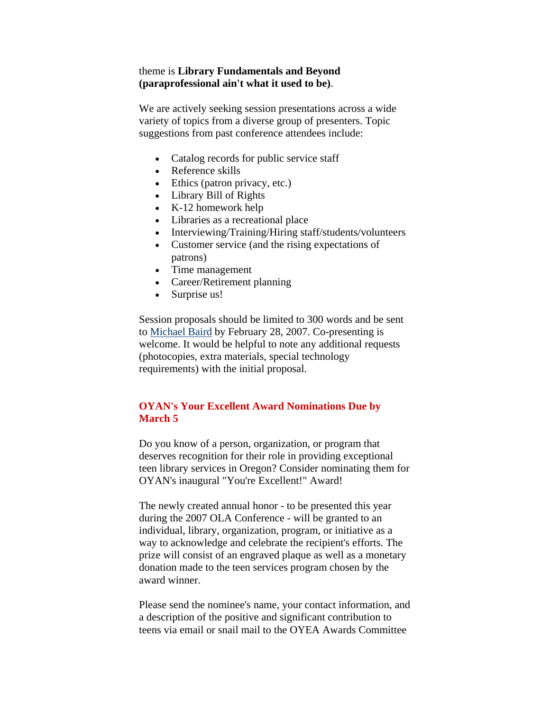#### <span id="page-2-0"></span>theme is **Library Fundamentals and Beyond (paraprofessional ain't what it used to be)**.

We are actively seeking session presentations across a wide variety of topics from a diverse group of presenters. Topic suggestions from past conference attendees include:

- Catalog records for public service staff
- Reference skills
- Ethics (patron privacy, etc.)
- Library Bill of Rights
- K-12 homework help
- Libraries as a recreational place
- Interviewing/Training/Hiring staff/students/volunteers
- Customer service (and the rising expectations of patrons)
- Time management
- Career/Retirement planning
- Surprise us!

Session proposals should be limited to 300 words and be sent to [Michael Baird](mailto:michael.baird@oregonstate.edu) by February 28, 2007. Co-presenting is welcome. It would be helpful to note any additional requests (photocopies, extra materials, special technology requirements) with the initial proposal.

#### **OYAN's Your Excellent Award Nominations Due by March 5**

Do you know of a person, organization, or program that deserves recognition for their role in providing exceptional teen library services in Oregon? Consider nominating them for OYAN's inaugural "You're Excellent!" Award!

The newly created annual honor - to be presented this year during the 2007 OLA Conference - will be granted to an individual, library, organization, program, or initiative as a way to acknowledge and celebrate the recipient's efforts. The prize will consist of an engraved plaque as well as a monetary donation made to the teen services program chosen by the award winner.

Please send the nominee's name, your contact information, and a description of the positive and significant contribution to teens via email or snail mail to the OYEA Awards Committee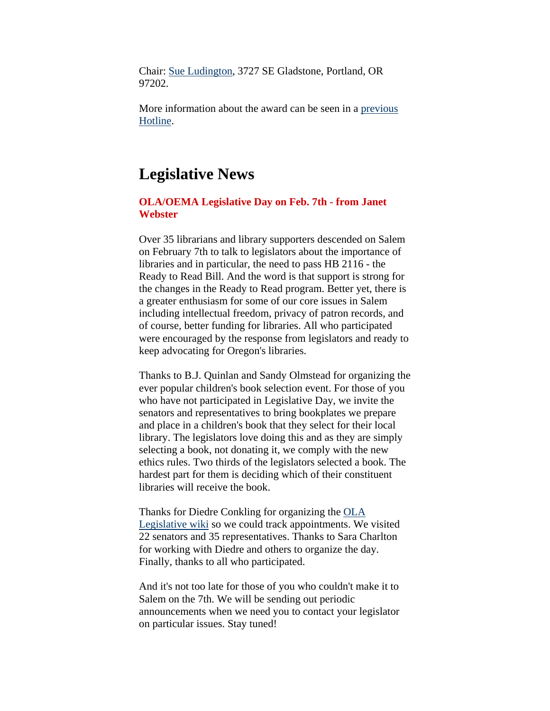<span id="page-3-0"></span>Chair: [Sue Ludington,](mailto:susanlu@multcolib.org) 3727 SE Gladstone, Portland, OR 97202.

More information about the award can be seen in a [previous](http://www.olaweb.org/hotline/vol13/olahot13-06.shtml#oyea)  [Hotline.](http://www.olaweb.org/hotline/vol13/olahot13-06.shtml#oyea)

### **Legislative News**

#### **OLA/OEMA Legislative Day on Feb. 7th - from Janet Webster**

Over 35 librarians and library supporters descended on Salem on February 7th to talk to legislators about the importance of libraries and in particular, the need to pass HB 2116 - the Ready to Read Bill. And the word is that support is strong for the changes in the Ready to Read program. Better yet, there is a greater enthusiasm for some of our core issues in Salem including intellectual freedom, privacy of patron records, and of course, better funding for libraries. All who participated were encouraged by the response from legislators and ready to keep advocating for Oregon's libraries.

Thanks to B.J. Quinlan and Sandy Olmstead for organizing the ever popular children's book selection event. For those of you who have not participated in Legislative Day, we invite the senators and representatives to bring bookplates we prepare and place in a children's book that they select for their local library. The legislators love doing this and as they are simply selecting a book, not donating it, we comply with the new ethics rules. Two thirds of the legislators selected a book. The hardest part for them is deciding which of their constituent libraries will receive the book.

Thanks for Diedre Conkling for organizing the [OLA](http://olanetwork.wikispaces.com/)  [Legislative wiki](http://olanetwork.wikispaces.com/) so we could track appointments. We visited 22 senators and 35 representatives. Thanks to Sara Charlton for working with Diedre and others to organize the day. Finally, thanks to all who participated.

And it's not too late for those of you who couldn't make it to Salem on the 7th. We will be sending out periodic announcements when we need you to contact your legislator on particular issues. Stay tuned!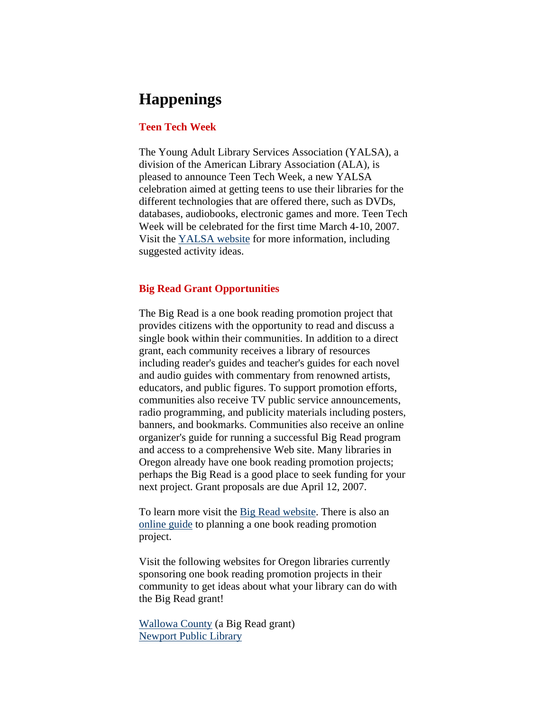## <span id="page-4-0"></span>**Happenings**

#### **Teen Tech Week**

The Young Adult Library Services Association (YALSA), a division of the American Library Association (ALA), is pleased to announce Teen Tech Week, a new YALSA celebration aimed at getting teens to use their libraries for the different technologies that are offered there, such as DVDs, databases, audiobooks, electronic games and more. Teen Tech Week will be celebrated for the first time March 4-10, 2007. Visit the [YALSA website](http://www.ala.org/ala/yalsa/teentechweek/ttw.htm) for more information, including suggested activity ideas.

#### **Big Read Grant Opportunities**

The Big Read is a one book reading promotion project that provides citizens with the opportunity to read and discuss a single book within their communities. In addition to a direct grant, each community receives a library of resources including reader's guides and teacher's guides for each novel and audio guides with commentary from renowned artists, educators, and public figures. To support promotion efforts, communities also receive TV public service announcements, radio programming, and publicity materials including posters, banners, and bookmarks. Communities also receive an online organizer's guide for running a successful Big Read program and access to a comprehensive Web site. Many libraries in Oregon already have one book reading promotion projects; perhaps the Big Read is a good place to seek funding for your next project. Grant proposals are due April 12, 2007.

To learn more visit the [Big Read website.](http://www.neabigread.org/index.php) There is also an [online guide](http://www.ala.org/ala/ppo/onebookguide.pdf) to planning a one book reading promotion project.

Visit the following websites for Oregon libraries currently sponsoring one book reading promotion projects in their community to get ideas about what your library can do with the Big Read grant!

[Wallowa County](http://www.fishtrap.org/tbr.shtml) (a Big Read grant) [Newport Public Library](http://www.newportlibrary.org/zorro.htm)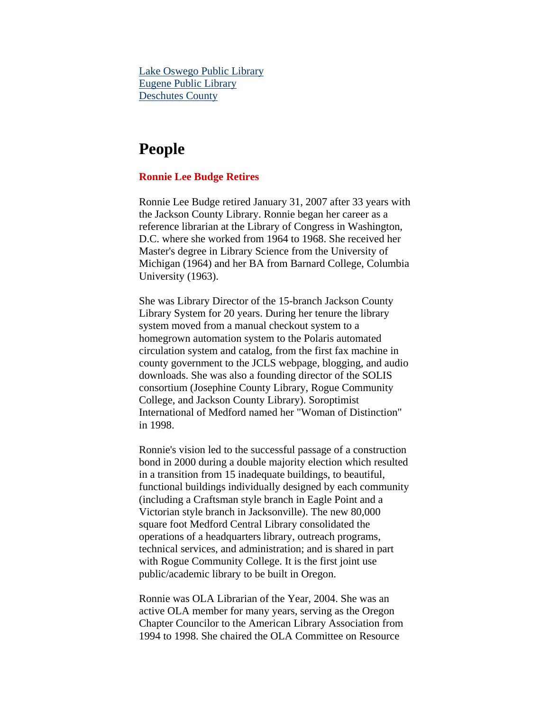<span id="page-5-0"></span>[Lake Oswego Public Library](http://www.ci.oswego.or.us/Library/calendar/LakeOswegoReads.htm) [Eugene Public Library](http://www.read-rain.org/) [Deschutes County](http://www.dpls.lib.or.us/Page.asp?NavID=594)

### **People**

#### **Ronnie Lee Budge Retires**

Ronnie Lee Budge retired January 31, 2007 after 33 years with the Jackson County Library. Ronnie began her career as a reference librarian at the Library of Congress in Washington, D.C. where she worked from 1964 to 1968. She received her Master's degree in Library Science from the University of Michigan (1964) and her BA from Barnard College, Columbia University (1963).

She was Library Director of the 15-branch Jackson County Library System for 20 years. During her tenure the library system moved from a manual checkout system to a homegrown automation system to the Polaris automated circulation system and catalog, from the first fax machine in county government to the JCLS webpage, blogging, and audio downloads. She was also a founding director of the SOLIS consortium (Josephine County Library, Rogue Community College, and Jackson County Library). Soroptimist International of Medford named her "Woman of Distinction" in 1998.

Ronnie's vision led to the successful passage of a construction bond in 2000 during a double majority election which resulted in a transition from 15 inadequate buildings, to beautiful, functional buildings individually designed by each community (including a Craftsman style branch in Eagle Point and a Victorian style branch in Jacksonville). The new 80,000 square foot Medford Central Library consolidated the operations of a headquarters library, outreach programs, technical services, and administration; and is shared in part with Rogue Community College. It is the first joint use public/academic library to be built in Oregon.

Ronnie was OLA Librarian of the Year, 2004. She was an active OLA member for many years, serving as the Oregon Chapter Councilor to the American Library Association from 1994 to 1998. She chaired the OLA Committee on Resource